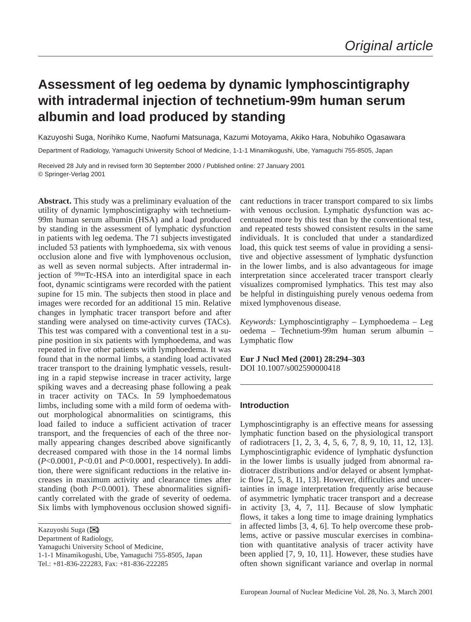# **Assessment of leg oedema by dynamic lymphoscintigraphy with intradermal injection of technetium-99m human serum albumin and load produced by standing**

Kazuyoshi Suga, Norihiko Kume, Naofumi Matsunaga, Kazumi Motoyama, Akiko Hara, Nobuhiko Ogasawara

Department of Radiology, Yamaguchi University School of Medicine, 1-1-1 Minamikogushi, Ube, Yamaguchi 755-8505, Japan

Received 28 July and in revised form 30 September 2000 / Published online: 27 January 2001 © Springer-Verlag 2001

**Abstract.** This study was a preliminary evaluation of the utility of dynamic lymphoscintigraphy with technetium-99m human serum albumin (HSA) and a load produced by standing in the assessment of lymphatic dysfunction in patients with leg oedema. The 71 subjects investigated included 53 patients with lymphoedema, six with venous occlusion alone and five with lymphovenous occlusion, as well as seven normal subjects. After intradermal injection of 99mTc-HSA into an interdigital space in each foot, dynamic scintigrams were recorded with the patient supine for 15 min. The subjects then stood in place and images were recorded for an additional 15 min. Relative changes in lymphatic tracer transport before and after standing were analysed on time-activity curves (TACs). This test was compared with a conventional test in a supine position in six patients with lymphoedema, and was repeated in five other patients with lymphoedema. It was found that in the normal limbs, a standing load activated tracer transport to the draining lymphatic vessels, resulting in a rapid stepwise increase in tracer activity, large spiking waves and a decreasing phase following a peak in tracer activity on TACs. In 59 lymphoedematous limbs, including some with a mild form of oedema without morphological abnormalities on scintigrams, this load failed to induce a sufficient activation of tracer transport, and the frequencies of each of the three normally appearing changes described above significantly decreased compared with those in the 14 normal limbs (*P*<0.0001, *P*<0.01 and *P*<0.0001, respectively). In addition, there were significant reductions in the relative increases in maximum activity and clearance times after standing (both *P*<0.0001). These abnormalities significantly correlated with the grade of severity of oedema. Six limbs with lymphovenous occlusion showed signifi-

Kazuyoshi Suga (✉)

Department of Radiology,

Yamaguchi University School of Medicine,

1-1-1 Minamikogushi, Ube, Yamaguchi 755-8505, Japan

Tel.: +81-836-222283, Fax: +81-836-222285

cant reductions in tracer transport compared to six limbs with venous occlusion. Lymphatic dysfunction was accentuated more by this test than by the conventional test, and repeated tests showed consistent results in the same individuals. It is concluded that under a standardized load, this quick test seems of value in providing a sensitive and objective assessment of lymphatic dysfunction in the lower limbs, and is also advantageous for image interpretation since accelerated tracer transport clearly visualizes compromised lymphatics. This test may also be helpful in distinguishing purely venous oedema from mixed lymphovenous disease.

*Keywords:* Lymphoscintigraphy – Lymphoedema – Leg oedema – Technetium-99m human serum albumin – Lymphatic flow

**Eur J Nucl Med (2001) 28:294–303** DOI 10.1007/s002590000418

### **Introduction**

Lymphoscintigraphy is an effective means for assessing lymphatic function based on the physiological transport of radiotracers [1, 2, 3, 4, 5, 6, 7, 8, 9, 10, 11, 12, 13]. Lymphoscintigraphic evidence of lymphatic dysfunction in the lower limbs is usually judged from abnormal radiotracer distributions and/or delayed or absent lymphatic flow [2, 5, 8, 11, 13]. However, difficulties and uncertainties in image interpretation frequently arise because of asymmetric lymphatic tracer transport and a decrease in activity [3, 4, 7, 11]. Because of slow lymphatic flows, it takes a long time to image draining lymphatics in affected limbs [3, 4, 6]. To help overcome these problems, active or passive muscular exercises in combination with quantitative analysis of tracer activity have been applied [7, 9, 10, 11]. However, these studies have often shown significant variance and overlap in normal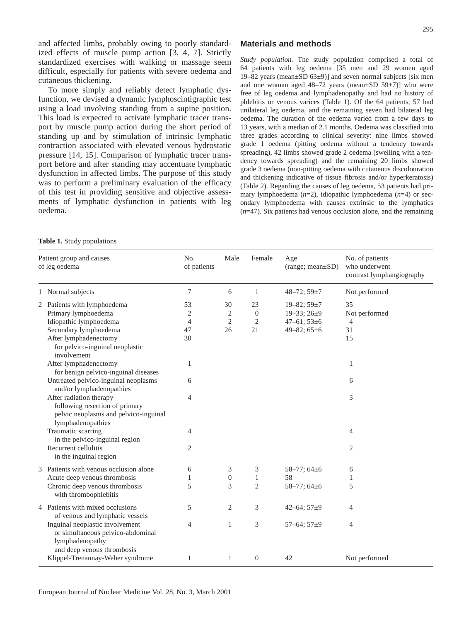and affected limbs, probably owing to poorly standardized effects of muscle pump action [3, 4, 7]. Strictly standardized exercises with walking or massage seem difficult, especially for patients with severe oedema and cutaneous thickening.

To more simply and reliably detect lymphatic dysfunction, we devised a dynamic lymphoscintigraphic test using a load involving standing from a supine position. This load is expected to activate lymphatic tracer transport by muscle pump action during the short period of standing up and by stimulation of intrinsic lymphatic contraction associated with elevated venous hydrostatic pressure [14, 15]. Comparison of lymphatic tracer transport before and after standing may accentuate lymphatic dysfunction in affected limbs. The purpose of this study was to perform a preliminary evaluation of the efficacy of this test in providing sensitive and objective assessments of lymphatic dysfunction in patients with leg oedema.

# **Materials and methods**

*Study population.* The study population comprised a total of 64 patients with leg oedema [35 men and 29 women aged 19–82 years (mean $\pm$ SD 63 $\pm$ 9)] and seven normal subjects [six men and one woman aged  $48-72$  years (mean $\pm$ SD 59 $\pm$ 7)] who were free of leg oedema and lymphadenopathy and had no history of phlebitis or venous varices (Table 1). Of the 64 patients, 57 had unilateral leg oedema, and the remaining seven had bilateral leg oedema. The duration of the oedema varied from a few days to 13 years, with a median of 2.1 months. Oedema was classified into three grades according to clinical severity: nine limbs showed grade 1 oedema (pitting oedema without a tendency towards spreading), 42 limbs showed grade 2 oedema (swelling with a tendency towards spreading) and the remaining 20 limbs showed grade 3 oedema (non-pitting oedema with cutaneous discolouration and thickening indicative of tissue fibrosis and/or hyperkeratosis) (Table 2). Regarding the causes of leg oedema, 53 patients had primary lymphoedema (*n*=2), idiopathic lymphoedema (*n*=4) or secondary lymphoedema with causes extrinsic to the lymphatics (*n*=47). Six patients had venous occlusion alone, and the remaining

|  |  |  | Table 1. Study populations |
|--|--|--|----------------------------|
|--|--|--|----------------------------|

| Patient group and causes<br>of leg oedema |                                                                                                                         | No.<br>of patients | Male             | Female           | Age<br>$(range; mean \pm SD)$ | No. of patients<br>who underwent<br>contrast lymphangiography |  |
|-------------------------------------------|-------------------------------------------------------------------------------------------------------------------------|--------------------|------------------|------------------|-------------------------------|---------------------------------------------------------------|--|
|                                           | 1 Normal subjects                                                                                                       | 7                  | 6                | $\mathbf{1}$     | 48-72; $59±7$                 | Not performed                                                 |  |
|                                           | 2 Patients with lymphoedema                                                                                             | 53                 | 30               | 23               | 19-82; $59 \pm 7$             | 35                                                            |  |
|                                           | Primary lymphoedema                                                                                                     | 2                  | $\mathbf{2}$     | $\overline{0}$   | $19 - 33; 26 \pm 9$           | Not performed                                                 |  |
|                                           | Idiopathic lymphoedema                                                                                                  | $\overline{4}$     | $\mathfrak{2}$   | 2                | $47 - 61$ ; $53 \pm 6$        | 4                                                             |  |
|                                           | Secondary lymphoedema                                                                                                   | 47                 | 26               | 21               | 49-82; $65\pm6$               | 31                                                            |  |
|                                           | After lymphadenectomy                                                                                                   | 30                 |                  |                  |                               | 15                                                            |  |
|                                           | for pelvico-inguinal neoplastic<br>involvement                                                                          |                    |                  |                  |                               |                                                               |  |
|                                           | After lymphadenectomy<br>for benign pelvico-inguinal diseases                                                           | 1                  |                  |                  |                               | 1                                                             |  |
|                                           | Untreated pelvico-inguinal neoplasms<br>and/or lymphadenopathies                                                        | 6                  |                  |                  |                               | 6                                                             |  |
|                                           | After radiation therapy<br>following resection of primary<br>pelvic neoplasms and pelvico-inguinal<br>lymphadenopathies | $\overline{4}$     |                  |                  |                               | 3                                                             |  |
|                                           | Traumatic scarring<br>in the pelvico-inguinal region                                                                    | 4                  |                  |                  |                               | 4                                                             |  |
|                                           | Recurrent cellulitis<br>in the inguinal region                                                                          | $\overline{2}$     |                  |                  |                               | $\overline{2}$                                                |  |
|                                           | 3 Patients with venous occlusion alone                                                                                  | 6                  | 3                | 3                | 58-77; $64\pm6$               | 6                                                             |  |
|                                           | Acute deep venous thrombosis                                                                                            | 1                  | $\boldsymbol{0}$ | $\mathbf{1}$     | 58                            | 1                                                             |  |
|                                           | Chronic deep venous thrombosis<br>with thrombophlebitis                                                                 | 5                  | 3                | $\overline{2}$   | 58-77; $64\pm6$               | 5                                                             |  |
|                                           | 4 Patients with mixed occlusions<br>of venous and lymphatic vessels                                                     | 5                  | $\overline{c}$   | 3                | 42-64; $57\pm9$               | $\overline{4}$                                                |  |
|                                           | Inguinal neoplastic involvement<br>or simultaneous pelvico-abdominal<br>lymphadenopathy<br>and deep venous thrombosis   | $\overline{4}$     | $\mathbf{1}$     | 3                | 57-64; $57\pm9$               | $\overline{4}$                                                |  |
|                                           | Klippel-Trenaunay-Weber syndrome                                                                                        | 1                  | 1                | $\boldsymbol{0}$ | 42                            | Not performed                                                 |  |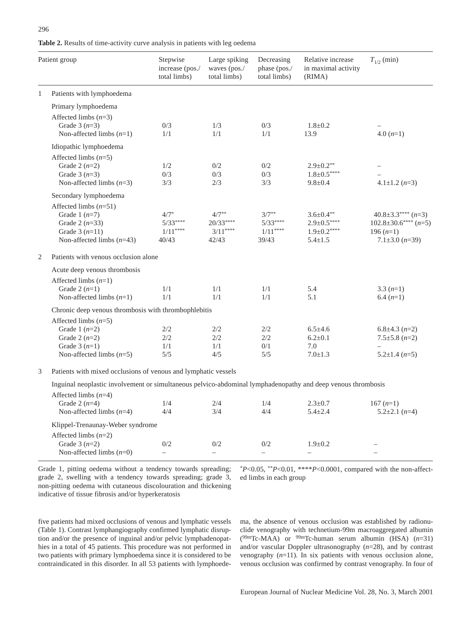| <b>Table 2.</b> Results of time-activity curve analysis in patients with leg oedema |  |  |
|-------------------------------------------------------------------------------------|--|--|
|                                                                                     |  |  |

|                | Patient group                                                                                                    | Stepwise<br>increase (pos./<br>total limbs) | Large spiking<br>waves (pos./<br>total limbs) | Decreasing<br>phase (pos./<br>total limbs) | Relative increase<br>in maximal activity<br>(RIMA)                       | $T_{1/2}$ (min)                                                                                |  |  |  |
|----------------|------------------------------------------------------------------------------------------------------------------|---------------------------------------------|-----------------------------------------------|--------------------------------------------|--------------------------------------------------------------------------|------------------------------------------------------------------------------------------------|--|--|--|
| $\mathbf{1}$   | Patients with lymphoedema                                                                                        |                                             |                                               |                                            |                                                                          |                                                                                                |  |  |  |
|                | Primary lymphoedema<br>Affected limbs $(n=3)$                                                                    |                                             |                                               |                                            |                                                                          |                                                                                                |  |  |  |
|                | Grade $3(n=3)$<br>Non-affected limbs $(n=1)$                                                                     | 0/3<br>1/1                                  | 1/3<br>1/1                                    | 0/3<br>1/1                                 | $1.8 \pm 0.2$<br>13.9                                                    | $4.0(n=1)$                                                                                     |  |  |  |
|                | Idiopathic lymphoedema                                                                                           |                                             |                                               |                                            |                                                                          |                                                                                                |  |  |  |
|                | Affected limbs $(n=5)$<br>Grade 2 $(n=2)$<br>Grade $3(n=3)$<br>Non-affected limbs $(n=3)$                        | 1/2<br>0/3<br>3/3                           | 0/2<br>0/3<br>2/3                             | 0/2<br>0/3<br>3/3                          | $2.9 \pm 0.2**$<br>$1.8 \pm 0.5***$<br>$9.8 \pm 0.4$                     | $4.1 \pm 1.2$ (n=3)                                                                            |  |  |  |
|                | Secondary lymphoedema                                                                                            |                                             |                                               |                                            |                                                                          |                                                                                                |  |  |  |
|                | Affected limbs $(n=51)$<br>Grade 1 $(n=7)$<br>Grade 2 $(n=33)$<br>Grade $3(n=11)$<br>Non-affected limbs $(n=43)$ | $4/7*$<br>$5/33***$<br>$1/11***$<br>40/43   | $4/7**$<br>$20/33***$<br>$3/11***$<br>42/43   | $3/7**$<br>$5/33***$<br>$1/11***$<br>39/43 | $3.6 \pm 0.4**$<br>$2.9 \pm 0.5***$<br>$1.9 \pm 0.2***$<br>$5.4 \pm 1.5$ | $40.8 \pm 3.3$ **** (n=3)<br>$102.8 \pm 30.6***$ (n=5)<br>$196(n=1)$<br>$7.1\pm3.0$ ( $n=39$ ) |  |  |  |
| $\mathfrak{2}$ | Patients with venous occlusion alone                                                                             |                                             |                                               |                                            |                                                                          |                                                                                                |  |  |  |
|                | Acute deep venous thrombosis                                                                                     |                                             |                                               |                                            |                                                                          |                                                                                                |  |  |  |
|                | Affected limbs $(n=1)$<br>Grade 2 $(n=1)$<br>Non-affected limbs $(n=1)$                                          | 1/1<br>1/1                                  | 1/1<br>1/1                                    | 1/1<br>1/1                                 | 5.4<br>5.1                                                               | $3.3(n=1)$<br>$6.4 (n=1)$                                                                      |  |  |  |
|                | Chronic deep venous thrombosis with thrombophlebitis                                                             |                                             |                                               |                                            |                                                                          |                                                                                                |  |  |  |
|                | Affected limbs $(n=5)$<br>Grade 1 $(n=2)$<br>Grade 2 $(n=2)$<br>Grade $3(n=1)$<br>Non-affected limbs $(n=5)$     | 2/2<br>2/2<br>1/1<br>5/5                    | 2/2<br>2/2<br>1/1<br>4/5                      | 2/2<br>2/2<br>0/1<br>5/5                   | $6.5 \pm 4.6$<br>$6.2 \pm 0.1$<br>7.0<br>$7.0 \pm 1.3$                   | $6.8\pm4.3$ $(n=2)$<br>$7.5 \pm 5.8$ (n=2)<br>$5.2 \pm 1.4$ (n=5)                              |  |  |  |
| 3              | Patients with mixed occlusions of venous and lymphatic vessels                                                   |                                             |                                               |                                            |                                                                          |                                                                                                |  |  |  |
|                | Inguinal neoplastic involvement or simultaneous pelvico-abdominal lymphadenopathy and deep venous thrombosis     |                                             |                                               |                                            |                                                                          |                                                                                                |  |  |  |
|                | Affected limbs $(n=4)$<br>Grade 2 $(n=4)$<br>Non-affected limbs $(n=4)$                                          | 1/4<br>4/4                                  | 2/4<br>3/4                                    | 1/4<br>4/4                                 | $2.3 \pm 0.7$<br>$5.4 \pm 2.4$                                           | $167(n=1)$<br>$5.2\pm2.1$ (n=4)                                                                |  |  |  |
|                | Klippel-Trenaunay-Weber syndrome                                                                                 |                                             |                                               |                                            |                                                                          |                                                                                                |  |  |  |
|                | Affected limbs $(n=2)$<br>Grade $3(n=2)$                                                                         | 0/2                                         | 0/2                                           | 0/2                                        | $1.9 \pm 0.2$                                                            |                                                                                                |  |  |  |

Non-affected limbs (*n*=0) – – – – –

Grade 1, pitting oedema without a tendency towards spreading; grade 2, swelling with a tendency towards spreading; grade 3, non-pitting oedema with cutaneous discolouration and thickening indicative of tissue fibrosis and/or hyperkeratosis

\**P*<0.05, \*\**P*<0.01, \*\*\*\**P*<0.0001, compared with the non-affected limbs in each group

five patients had mixed occlusions of venous and lymphatic vessels (Table 1). Contrast lymphangiography confirmed lymphatic disruption and/or the presence of inguinal and/or pelvic lymphadenopathies in a total of 45 patients. This procedure was not performed in two patients with primary lymphoedema since it is considered to be contraindicated in this disorder. In all 53 patients with lymphoedema, the absence of venous occlusion was established by radionuclide venography with technetium-99m macroaggregated albumin  $(^{99m}$ Tc-MAA) or  $^{99m}$ Tc-human serum albumin (HSA)  $(n=31)$ and/or vascular Doppler ultrasonography (*n*=28), and by contrast venography  $(n=11)$ . In six patients with venous occlusion alone, venous occlusion was confirmed by contrast venography. In four of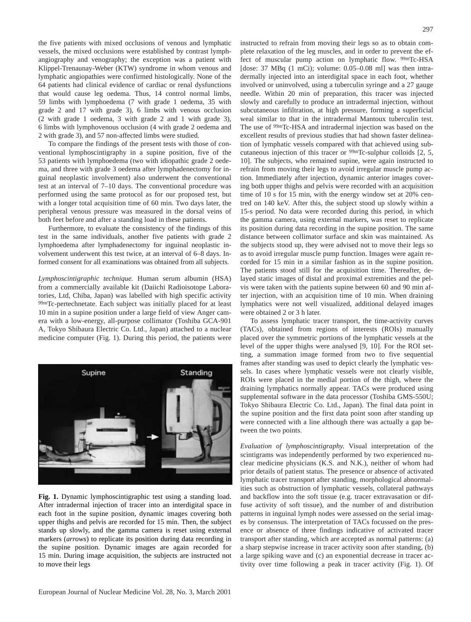the five patients with mixed occlusions of venous and lymphatic vessels, the mixed occlusions were established by contrast lymphangiography and venography; the exception was a patient with Klippel-Trenaunay-Weber (KTW) syndrome in whom venous and lymphatic angiopathies were confirmed histologically. None of the 64 patients had clinical evidence of cardiac or renal dysfunctions that would cause leg oedema. Thus, 14 control normal limbs, 59 limbs with lymphoedema (7 with grade 1 oedema, 35 with grade 2 and 17 with grade 3), 6 limbs with venous occlusion (2 with grade 1 oedema, 3 with grade 2 and 1 with grade 3), 6 limbs with lymphovenous occlusion (4 with grade 2 oedema and 2 with grade 3), and 57 non-affected limbs were studied.

To compare the findings of the present tests with those of conventional lymphoscintigraphy in a supine position, five of the 53 patients with lymphoedema (two with idiopathic grade 2 oedema, and three with grade 3 oedema after lymphadenectomy for inguinal neoplastic involvement) also underwent the conventional test at an interval of 7–10 days. The conventional procedure was performed using the same protocol as for our proposed test, but with a longer total acquisition time of 60 min. Two days later, the peripheral venous pressure was measured in the dorsal veins of both feet before and after a standing load in these patients.

Furthermore, to evaluate the consistency of the findings of this test in the same individuals, another five patients with grade 2 lymphoedema after lymphadenectomy for inguinal neoplastic involvement underwent this test twice, at an interval of 6–8 days. Informed consent for all examinations was obtained from all subjects.

*Lymphoscintigraphic technique.* Human serum albumin (HSA) from a commercially available kit (Daiichi Radioisotope Laboratories, Ltd, Chiba, Japan) was labelled with high specific activity 99mTc-pertechnetate. Each subject was initially placed for at least 10 min in a supine position under a large field of view Anger camera with a low-energy, all-purpose collimator (Toshiba GCA-901 A, Tokyo Shibaura Electric Co. Ltd., Japan) attached to a nuclear medicine computer (Fig. 1). During this period, the patients were



**Fig. 1.** Dynamic lymphoscintigraphic test using a standing load. After intradermal injection of tracer into an interdigital space in each foot in the supine position, dynamic images covering both upper thighs and pelvis are recorded for 15 min. Then, the subject stands up slowly, and the gamma camera is reset using external markers (*arrows*) to replicate its position during data recording in the supine position. Dynamic images are again recorded for 15 min. During image acquisition, the subjects are instructed not to move their legs

instructed to refrain from moving their legs so as to obtain complete relaxation of the leg muscles, and in order to prevent the effect of muscular pump action on lymphatic flow. 99mTc-HSA [dose:  $37 \text{ MBq}$  (1 mCi); volume:  $0.05-0.08 \text{ ml}$ ] was then intradermally injected into an interdigital space in each foot, whether involved or uninvolved, using a tuberculin syringe and a 27 gauge needle. Within 20 min of preparation, this tracer was injected slowly and carefully to produce an intradermal injection, without subcutaneous infiltration, at high pressure, forming a superficial weal similar to that in the intradermal Mantoux tuberculin test. The use of 99mTc-HSA and intradermal injection was based on the excellent results of previous studies that had shown faster delineation of lymphatic vessels compared with that achieved using subcutaneous injection of this tracer or 99mTc-sulphur colloids [2, 5, 10]. The subjects, who remained supine, were again instructed to refrain from moving their legs to avoid irregular muscle pump action. Immediately after injection, dynamic anterior images covering both upper thighs and pelvis were recorded with an acquisition time of 10 s for 15 min, with the energy window set at 20% centred on 140 keV. After this, the subject stood up slowly within a 15-s period. No data were recorded during this period, in which the gamma camera, using external markers, was reset to replicate its position during data recording in the supine position. The same distance between collimator surface and skin was maintained. As the subjects stood up, they were advised not to move their legs so as to avoid irregular muscle pump function. Images were again recorded for 15 min in a similar fashion as in the supine position. The patients stood still for the acquisition time. Thereafter, delayed static images of distal and proximal extremities and the pelvis were taken with the patients supine between 60 and 90 min after injection, with an acquisition time of 10 min. When draining lymphatics were not well visualized, additional delayed images were obtained 2 or 3 h later.

To assess lymphatic tracer transport, the time-activity curves (TACs), obtained from regions of interests (ROIs) manually placed over the symmetric portions of the lymphatic vessels at the level of the upper thighs were analysed [9, 10]. For the ROI setting, a summation image formed from two to five sequential frames after standing was used to depict clearly the lymphatic vessels. In cases where lymphatic vessels were not clearly visible, ROIs were placed in the medial portion of the thigh, where the draining lymphatics normally appear. TACs were produced using supplemental software in the data processor (Toshiba GMS-550U; Tokyo Shibaura Electric Co. Ltd., Japan). The final data point in the supine position and the first data point soon after standing up were connected with a line although there was actually a gap between the two points.

*Evaluation of lymphoscintigraphy.* Visual interpretation of the scintigrams was independently performed by two experienced nuclear medicine physicians (K.S. and N.K.), neither of whom had prior details of patient status. The presence or absence of activated lymphatic tracer transport after standing, morphological abnormalities such as obstruction of lymphatic vessels, collateral pathways and backflow into the soft tissue (e.g. tracer extravasation or diffuse activity of soft tissue), and the number of and distribution patterns in inguinal lymph nodes were assessed on the serial images by consensus. The interpretation of TACs focussed on the presence or absence of three findings indicative of activated tracer transport after standing, which are accepted as normal patterns: (a) a sharp stepwise increase in tracer activity soon after standing, (b) a large spiking wave and (c) an exponential decrease in tracer activity over time following a peak in tracer activity (Fig. 1). Of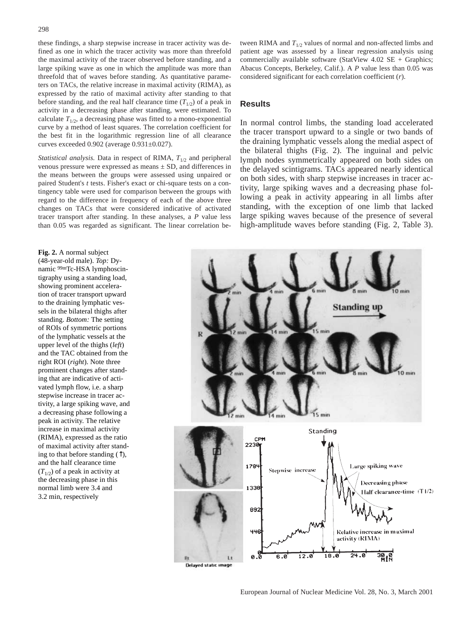these findings, a sharp stepwise increase in tracer activity was defined as one in which the tracer activity was more than threefold the maximal activity of the tracer observed before standing, and a large spiking wave as one in which the amplitude was more than threefold that of waves before standing. As quantitative parameters on TACs, the relative increase in maximal activity (RIMA), as expressed by the ratio of maximal activity after standing to that before standing, and the real half clearance time  $(T_{1/2})$  of a peak in activity in a decreasing phase after standing, were estimated. To calculate  $T_{1/2}$ , a decreasing phase was fitted to a mono-exponential curve by a method of least squares. The correlation coefficient for the best fit in the logarithmic regression line of all clearance curves exceeded 0.902 (average 0.931±0.027).

*Statistical analysis.* Data in respect of RIMA,  $T_{1/2}$  and peripheral venous pressure were expressed as means ± SD, and differences in the means between the groups were assessed using unpaired or paired Student's *t* tests. Fisher's exact or chi-square tests on a contingency table were used for comparison between the groups with regard to the difference in frequency of each of the above three changes on TACs that were considered indicative of activated tracer transport after standing. In these analyses, a *P* value less than 0.05 was regarded as significant. The linear correlation between RIMA and  $T_{1/2}$  values of normal and non-affected limbs and patient age was assessed by a linear regression analysis using commercially available software (StatView 4.02 SE + Graphics; Abacus Concepts, Berkeley, Calif.). A *P* value less than 0.05 was considered significant for each correlation coefficient (*r*).

## **Results**

In normal control limbs, the standing load accelerated the tracer transport upward to a single or two bands of the draining lymphatic vessels along the medial aspect of the bilateral thighs (Fig. 2). The inguinal and pelvic lymph nodes symmetrically appeared on both sides on the delayed scintigrams. TACs appeared nearly identical on both sides, with sharp stepwise increases in tracer activity, large spiking waves and a decreasing phase following a peak in activity appearing in all limbs after standing, with the exception of one limb that lacked large spiking waves because of the presence of several high-amplitude waves before standing (Fig. 2, Table 3).

**Fig. 2.** A normal subject (48-year-old male). *Top:* Dynamic 99mTc-HSA lymphoscintigraphy using a standing load, showing prominent acceleration of tracer transport upward to the draining lymphatic vessels in the bilateral thighs after standing. *Bottom:* The setting of ROIs of symmetric portions of the lymphatic vessels at the upper level of the thighs (*left*) and the TAC obtained from the right ROI (*right*). Note three prominent changes after standing that are indicative of activated lymph flow, i.e. a sharp stepwise increase in tracer activity, a large spiking wave, and a decreasing phase following a peak in activity. The relative increase in maximal activity (RIMA), expressed as the ratio of maximal activity after standing to that before standing  $(†)$ , and the half clearance time  $(T_{1/2})$  of a peak in activity at the decreasing phase in this normal limb were 3.4 and 3.2 min, respectively



Delayed static image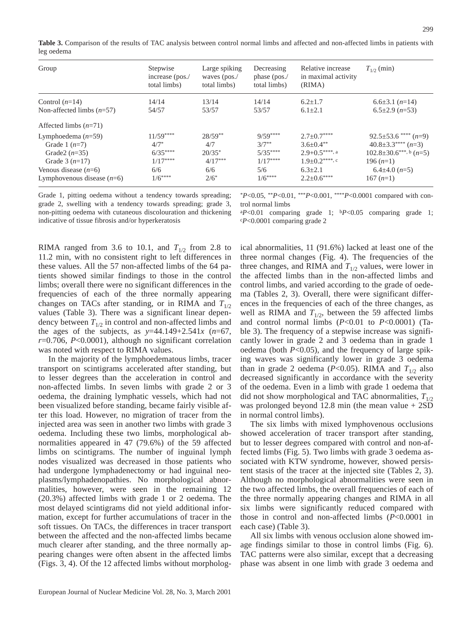**Table 3.** Comparison of the results of TAC analysis between control normal limbs and affected and non-affected limbs in patients with leg oedema

| Group                        | Stepwise<br>increase (pos./<br>total limbs) | Large spiking<br>waves (pos./<br>total limbs) | Decreasing<br>phase (pos./<br>total limbs) | Relative increase<br>in maximal activity<br>(RIMA) | $T_{1/2}$ (min)               |
|------------------------------|---------------------------------------------|-----------------------------------------------|--------------------------------------------|----------------------------------------------------|-------------------------------|
| Control $(n=14)$             | 14/14                                       | 13/14                                         | 14/14                                      | $6.2 + 1.7$                                        | $6.6 \pm 3.1$ $(n=14)$        |
| Non-affected limbs $(n=57)$  | 54/57                                       | 53/57                                         | 53/57                                      | $6.1 \pm 2.1$                                      | $6.5\pm2.9$ ( $n=53$ )        |
| Affected limbs $(n=71)$      |                                             |                                               |                                            |                                                    |                               |
| Lymphoedema $(n=59)$         | $11/59***$                                  | $28/59**$                                     | $9/59***$                                  | $2.7 \pm 0.7***$                                   | $92.5\pm53.6$ **** $(n=9)$    |
| Grade 1 $(n=7)$              | $4/7*$                                      | 4/7                                           | $3/7**$                                    | $3.6 + 0.4$ **                                     | $40.8 \pm 3.3$ **** $(n=3)$   |
| Grade $2(n=35)$              | $6/35***$                                   | $20/35*$                                      | $5/35***$                                  | $2.9+0.5***$ , a                                   | $102.8 \pm 30.6$ ***, b (n=5) |
| Grade $3(n=17)$              | $1/17***$                                   | $4/17***$                                     | $1/17***$                                  | $1.9 \pm 0.2$ ****, c                              | 196 $(n=1)$                   |
| Venous disease $(n=6)$       | 6/6                                         | 6/6                                           | 5/6                                        | $6.3 + 2.1$                                        | $6.4\pm4.0(n=5)$              |
| Lymphovenous disease $(n=6)$ | $1/6***$                                    | $2/6^*$                                       | $1/6***$                                   | $2.2 \pm 0.6***$                                   | $167(n=1)$                    |

Grade 1, pitting oedema without a tendency towards spreading; grade 2, swelling with a tendency towards spreading; grade 3, non-pitting oedema with cutaneous discolouration and thickening indicative of tissue fibrosis and/or hyperkeratosis

\**P*<0.05, \*\**P*<0.01, \*\*\**P*<0.001, \*\*\*\**P*<0.0001 compared with control normal limbs

<sup>a</sup>*P*<0.01 comparing grade 1; b*P*<0.05 comparing grade 1; c*P*<0.0001 comparing grade 2

RIMA ranged from 3.6 to 10.1, and  $T_{1/2}$  from 2.8 to 11.2 min, with no consistent right to left differences in these values. All the 57 non-affected limbs of the 64 patients showed similar findings to those in the control limbs; overall there were no significant differences in the frequencies of each of the three normally appearing changes on TACs after standing, or in RIMA and  $T_{1/2}$ values (Table 3). There was a significant linear dependency between  $T_{1/2}$  in control and non-affected limbs and the ages of the subjects, as  $y=44.149+2.541x$  ( $n=67$ , *r*=0.706, *P*<0.0001), although no significant correlation was noted with respect to RIMA values.

In the majority of the lymphoedematous limbs, tracer transport on scintigrams accelerated after standing, but to lesser degrees than the acceleration in control and non-affected limbs. In seven limbs with grade 2 or 3 oedema, the draining lymphatic vessels, which had not been visualized before standing, became fairly visible after this load. However, no migration of tracer from the injected area was seen in another two limbs with grade 3 oedema. Including these two limbs, morphological abnormalities appeared in 47 (79.6%) of the 59 affected limbs on scintigrams. The number of inguinal lymph nodes visualized was decreased in those patients who had undergone lymphadenectomy or had inguinal neoplasms/lymphadenopathies. No morphological abnormalities, however, were seen in the remaining 12 (20.3%) affected limbs with grade 1 or 2 oedema. The most delayed scintigrams did not yield additional information, except for further accumulations of tracer in the soft tissues. On TACs, the differences in tracer transport between the affected and the non-affected limbs became much clearer after standing, and the three normally appearing changes were often absent in the affected limbs (Figs. 3, 4). Of the 12 affected limbs without morphological abnormalities, 11 (91.6%) lacked at least one of the three normal changes (Fig. 4). The frequencies of the three changes, and RIMA and  $T_{1/2}$  values, were lower in the affected limbs than in the non-affected limbs and control limbs, and varied according to the grade of oedema (Tables 2, 3). Overall, there were significant differences in the frequencies of each of the three changes, as well as RIMA and  $T_{1/2}$ , between the 59 affected limbs and control normal limbs  $(P<0.01$  to  $P<0.0001$ ) (Table 3). The frequency of a stepwise increase was significantly lower in grade 2 and 3 oedema than in grade 1 oedema (both *P*<0.05), and the frequency of large spiking waves was significantly lower in grade 3 oedema than in grade 2 oedema ( $P<0.05$ ). RIMA and  $T_{1/2}$  also decreased significantly in accordance with the severity of the oedema. Even in a limb with grade 1 oedema that did not show morphological and TAC abnormalities,  $T_{1/2}$ was prolonged beyond 12.8 min (the mean value + 2SD in normal control limbs).

The six limbs with mixed lymphovenous occlusions showed acceleration of tracer transport after standing, but to lesser degrees compared with control and non-affected limbs (Fig. 5). Two limbs with grade 3 oedema associated with KTW syndrome, however, showed persistent stasis of the tracer at the injected site (Tables 2, 3). Although no morphological abnormalities were seen in the two affected limbs, the overall frequencies of each of the three normally appearing changes and RIMA in all six limbs were significantly reduced compared with those in control and non-affected limbs (*P*<0.0001 in each case) (Table 3).

All six limbs with venous occlusion alone showed image findings similar to those in control limbs (Fig. 6). TAC patterns were also similar, except that a decreasing phase was absent in one limb with grade 3 oedema and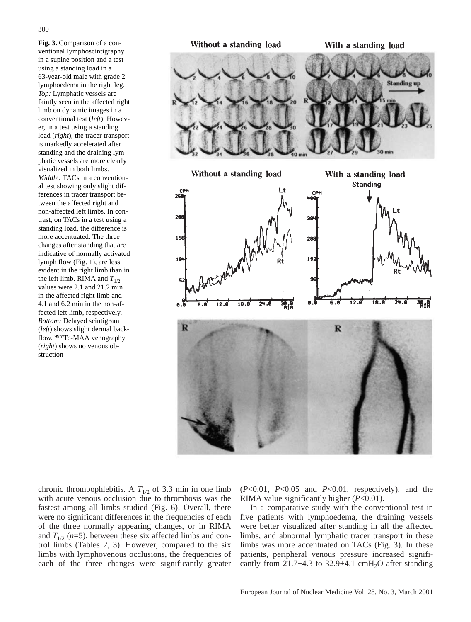**Fig. 3.** Comparison of a conventional lymphoscintigraphy in a supine position and a test using a standing load in a 63-year-old male with grade 2 lymphoedema in the right leg. *Top:* Lymphatic vessels are faintly seen in the affected right limb on dynamic images in a conventional test (*left*). However, in a test using a standing load (*right*), the tracer transport is markedly accelerated after standing and the draining lymphatic vessels are more clearly visualized in both limbs. *Middle:* TACs in a conventional test showing only slight differences in tracer transport between the affected right and non-affected left limbs. In contrast, on TACs in a test using a standing load, the difference is more accentuated. The three changes after standing that are indicative of normally activated lymph flow (Fig. 1), are less evident in the right limb than in

the left limb. RIMA and  $T_{1/2}$ values were 2.1 and 21.2 min in the affected right limb and 4.1 and 6.2 min in the non-affected left limb, respectively. *Bottom:* Delayed scintigram (*left*) shows slight dermal backflow. 99mTc-MAA venography (*right*) shows no venous ob-

struction



chronic thrombophlebitis. A  $T_{1/2}$  of 3.3 min in one limb with acute venous occlusion due to thrombosis was the fastest among all limbs studied (Fig. 6). Overall, there were no significant differences in the frequencies of each of the three normally appearing changes, or in RIMA and  $T_{1/2}$  ( $n=5$ ), between these six affected limbs and control limbs (Tables 2, 3). However, compared to the six limbs with lymphovenous occlusions, the frequencies of each of the three changes were significantly greater (*P*<0.01, *P*<0.05 and *P*<0.01, respectively), and the RIMA value significantly higher (*P*<0.01).

In a comparative study with the conventional test in five patients with lymphoedema, the draining vessels were better visualized after standing in all the affected limbs, and abnormal lymphatic tracer transport in these limbs was more accentuated on TACs (Fig. 3). In these patients, peripheral venous pressure increased significantly from  $21.7\pm4.3$  to  $32.9\pm4.1$  cmH<sub>2</sub>O after standing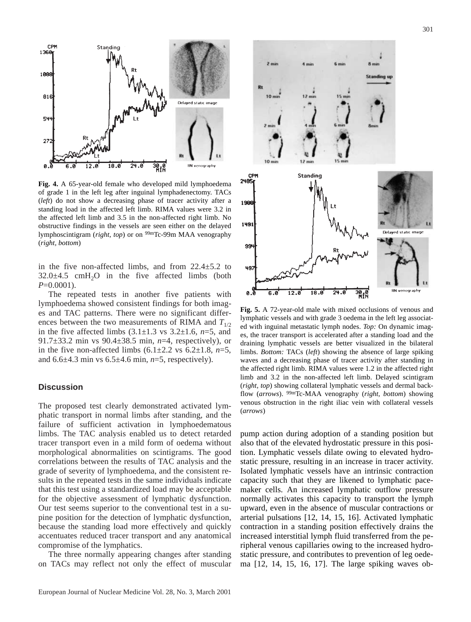

**Fig. 4.** A 65-year-old female who developed mild lymphoedema of grade 1 in the left leg after inguinal lymphadenectomy. TACs (*left*) do not show a decreasing phase of tracer activity after a standing load in the affected left limb. RIMA values were 3.2 in the affected left limb and 3.5 in the non-affected right limb. No obstructive findings in the vessels are seen either on the delayed lymphoscintigram (*right, top*) or on 99mTc-99m MAA venography (*right, bottom*)

in the five non-affected limbs, and from  $22.4 \pm 5.2$  to  $32.0\pm4.5$  cmH<sub>2</sub>O in the five affected limbs (both *P*=0.0001).

The repeated tests in another five patients with lymphoedema showed consistent findings for both images and TAC patterns. There were no significant differences between the two measurements of RIMA and  $T_{1/2}$ in the five affected limbs (3.1±1.3 vs 3.2±1.6, *n*=5, and 91.7±33.2 min vs 90.4±38.5 min, *n*=4, respectively), or in the five non-affected limbs  $(6.1\pm 2.2 \text{ vs } 6.2\pm 1.8, n=5,$ and 6.6±4.3 min vs 6.5±4.6 min, *n*=5, respectively).

#### **Discussion**

The proposed test clearly demonstrated activated lymphatic transport in normal limbs after standing, and the failure of sufficient activation in lymphoedematous limbs. The TAC analysis enabled us to detect retarded tracer transport even in a mild form of oedema without morphological abnormalities on scintigrams. The good correlations between the results of TAC analysis and the grade of severity of lymphoedema, and the consistent results in the repeated tests in the same individuals indicate that this test using a standardized load may be acceptable for the objective assessment of lymphatic dysfunction. Our test seems superior to the conventional test in a supine position for the detection of lymphatic dysfunction, because the standing load more effectively and quickly accentuates reduced tracer transport and any anatomical compromise of the lymphatics.

The three normally appearing changes after standing on TACs may reflect not only the effect of muscular



**Fig. 5.** A 72-year-old male with mixed occlusions of venous and lymphatic vessels and with grade 3 oedema in the left leg associated with inguinal metastatic lymph nodes. *Top:* On dynamic images, the tracer transport is accelerated after a standing load and the draining lymphatic vessels are better visualized in the bilateral limbs. *Bottom:* TACs (*left*) showing the absence of large spiking waves and a decreasing phase of tracer activity after standing in the affected right limb. RIMA values were 1.2 in the affected right limb and 3.2 in the non-affected left limb. Delayed scintigram (*right, top*) showing collateral lymphatic vessels and dermal backflow (*arrows*). 99mTc-MAA venography (*right, bottom*) showing venous obstruction in the right iliac vein with collateral vessels (*arrows*)

pump action during adoption of a standing position but also that of the elevated hydrostatic pressure in this position. Lymphatic vessels dilate owing to elevated hydrostatic pressure, resulting in an increase in tracer activity. Isolated lymphatic vessels have an intrinsic contraction capacity such that they are likened to lymphatic pacemaker cells. An increased lymphatic outflow pressure normally activates this capacity to transport the lymph upward, even in the absence of muscular contractions or arterial pulsations [12, 14, 15, 16]. Activated lymphatic contraction in a standing position effectively drains the increased interstitial lymph fluid transferred from the peripheral venous capillaries owing to the increased hydrostatic pressure, and contributes to prevention of leg oedema [12, 14, 15, 16, 17]. The large spiking waves ob-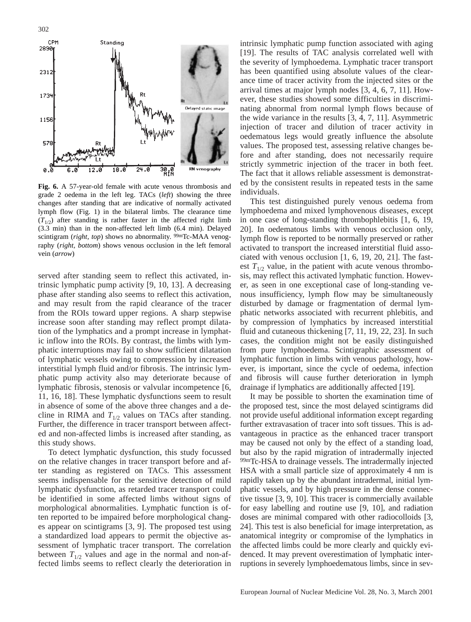

**Fig. 6.** A 57-year-old female with acute venous thrombosis and grade 2 oedema in the left leg. TACs (*left*) showing the three changes after standing that are indicative of normally activated lymph flow (Fig. 1) in the bilateral limbs. The clearance time  $(T_{1/2})$  after standing is rather faster in the affected right limb (3.3 min) than in the non-affected left limb (6.4 min). Delayed scintigram (*right, top*) shows no abnormality. <sup>99m</sup>Tc-MAA venography (*right, bottom*) shows venous occlusion in the left femoral vein (*arrow*)

served after standing seem to reflect this activated, intrinsic lymphatic pump activity [9, 10, 13]. A decreasing phase after standing also seems to reflect this activation, and may result from the rapid clearance of the tracer from the ROIs toward upper regions. A sharp stepwise increase soon after standing may reflect prompt dilatation of the lymphatics and a prompt increase in lymphatic inflow into the ROIs. By contrast, the limbs with lymphatic interruptions may fail to show sufficient dilatation of lymphatic vessels owing to compression by increased interstitial lymph fluid and/or fibrosis. The intrinsic lymphatic pump activity also may deteriorate because of lymphatic fibrosis, stenosis or valvular incompetence [6, 11, 16, 18]. These lymphatic dysfunctions seem to result in absence of some of the above three changes and a decline in RIMA and  $T_{1/2}$  values on TACs after standing. Further, the difference in tracer transport between affected and non-affected limbs is increased after standing, as this study shows.

To detect lymphatic dysfunction, this study focussed on the relative changes in tracer transport before and after standing as registered on TACs. This assessment seems indispensable for the sensitive detection of mild lymphatic dysfunction, as retarded tracer transport could be identified in some affected limbs without signs of morphological abnormalities. Lymphatic function is often reported to be impaired before morphological changes appear on scintigrams [3, 9]. The proposed test using a standardized load appears to permit the objective assessment of lymphatic tracer transport. The correlation between  $T_{1/2}$  values and age in the normal and non-affected limbs seems to reflect clearly the deterioration in

intrinsic lymphatic pump function associated with aging [19]. The results of TAC analysis correlated well with the severity of lymphoedema. Lymphatic tracer transport has been quantified using absolute values of the clearance time of tracer activity from the injected sites or the arrival times at major lymph nodes [3, 4, 6, 7, 11]. However, these studies showed some difficulties in discriminating abnormal from normal lymph flows because of the wide variance in the results [3, 4, 7, 11]. Asymmetric injection of tracer and dilution of tracer activity in oedematous legs would greatly influence the absolute values. The proposed test, assessing relative changes before and after standing, does not necessarily require strictly symmetric injection of the tracer in both feet. The fact that it allows reliable assessment is demonstrated by the consistent results in repeated tests in the same individuals.

This test distinguished purely venous oedema from lymphoedema and mixed lymphovenous diseases, except in one case of long-standing thrombophlebitis [1, 6, 19, 20]. In oedematous limbs with venous occlusion only, lymph flow is reported to be normally preserved or rather activated to transport the increased interstitial fluid associated with venous occlusion [1, 6, 19, 20, 21]. The fastest  $T_{1/2}$  value, in the patient with acute venous thrombosis, may reflect this activated lymphatic function. However, as seen in one exceptional case of long-standing venous insufficiency, lymph flow may be simultaneously disturbed by damage or fragmentation of dermal lymphatic networks associated with recurrent phlebitis, and by compression of lymphatics by increased interstitial fluid and cutaneous thickening [7, 11, 19, 22, 23]. In such cases, the condition might not be easily distinguished from pure lymphoedema. Scintigraphic assessment of lymphatic function in limbs with venous pathology, however, is important, since the cycle of oedema, infection and fibrosis will cause further deterioration in lymph drainage if lymphatics are additionally affected [19].

It may be possible to shorten the examination time of the proposed test, since the most delayed scintigrams did not provide useful additional information except regarding further extravasation of tracer into soft tissues. This is advantageous in practice as the enhanced tracer transport may be caused not only by the effect of a standing load, but also by the rapid migration of intradermally injected 99mTc-HSA to drainage vessels. The intradermally injected HSA with a small particle size of approximately 4 nm is rapidly taken up by the abundant intradermal, initial lymphatic vessels, and by high pressure in the dense connective tissue [3, 9, 10]. This tracer is commercially available for easy labelling and routine use [9, 10], and radiation doses are minimal compared with other radiocolloids [3, 24]. This test is also beneficial for image interpretation, as anatomical integrity or compromise of the lymphatics in the affected limbs could be more clearly and quickly evidenced. It may prevent overestimation of lymphatic interruptions in severely lymphoedematous limbs, since in sev-